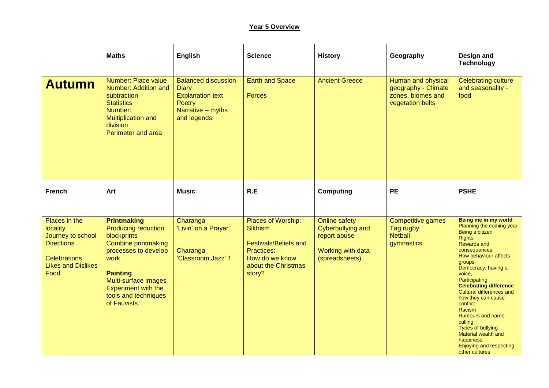## **Year 5 Overview**

|                                                                                                                                 | <b>Maths</b>                                                                                                                                                                                                                                    | <b>English</b>                                                                                                      | <b>Science</b>                                                                                                                        | <b>History</b>                                                                                   | Geography                                                                          | Design and<br><b>Technology</b>                                                                                                                                                                                                                                                                                                                                                                                                                                                     |
|---------------------------------------------------------------------------------------------------------------------------------|-------------------------------------------------------------------------------------------------------------------------------------------------------------------------------------------------------------------------------------------------|---------------------------------------------------------------------------------------------------------------------|---------------------------------------------------------------------------------------------------------------------------------------|--------------------------------------------------------------------------------------------------|------------------------------------------------------------------------------------|-------------------------------------------------------------------------------------------------------------------------------------------------------------------------------------------------------------------------------------------------------------------------------------------------------------------------------------------------------------------------------------------------------------------------------------------------------------------------------------|
| <b>Autumn</b>                                                                                                                   | Number: Place value<br>Number: Addition and<br>subtraction<br><b>Statistics</b><br>Number:<br><b>Multiplication and</b><br>division<br>Perimeter and area                                                                                       | <b>Balanced discussion</b><br><b>Diary</b><br><b>Explanation text</b><br>Poetry<br>Narrative - myths<br>and legends | <b>Earth and Space</b><br><b>Forces</b>                                                                                               | <b>Ancient Greece</b>                                                                            | Human and physical<br>geography - Climate<br>zones, biomes and<br>vegetation belts | <b>Celebrating culture</b><br>and seasonality -<br>food                                                                                                                                                                                                                                                                                                                                                                                                                             |
| <b>French</b>                                                                                                                   | Art                                                                                                                                                                                                                                             | <b>Music</b>                                                                                                        | R.E                                                                                                                                   | Computing                                                                                        | <b>PE</b>                                                                          | <b>PSHE</b>                                                                                                                                                                                                                                                                                                                                                                                                                                                                         |
| Places in the<br>locality<br>Journey to school<br><b>Directions</b><br><b>Celebrations</b><br><b>Likes and Dislikes</b><br>Food | <b>Printmaking</b><br><b>Producing reduction</b><br>blockprints<br><b>Combine printmaking</b><br>processes to develop<br>work.<br><b>Painting</b><br>Multi-surface images<br><b>Experiment with the</b><br>tools and techniques<br>of Fauvists. | Charanga<br>'Livin' on a Prayer'<br>Charanga<br>'Classroom Jazz' 1                                                  | Places of Worship:<br><b>Sikhism</b><br><b>Festivals/Beliefs and</b><br>Practices:<br>How do we know<br>about the Christmas<br>story? | <b>Online safety</b><br>Cyberbullying and<br>report abuse<br>Working with data<br>(spreadsheets) | <b>Competitive games</b><br>Tag rugby<br><b>Netball</b><br>gymnastics              | Being me in my world<br>Planning the coming year<br>Being a citizen<br><b>Rights</b><br><b>Rewards and</b><br>consequences<br>How behaviour affects<br><b>groups</b><br>Democracy, having a<br>voice,<br>Participating<br><b>Celebrating difference</b><br>Cultural differences and<br>how they can cause<br>conflict<br>Racism<br><b>Rumours and name-</b><br>calling<br><b>Types of bullying</b><br>Material wealth and<br>happiness<br>Enjoying and respecting<br>other cultures |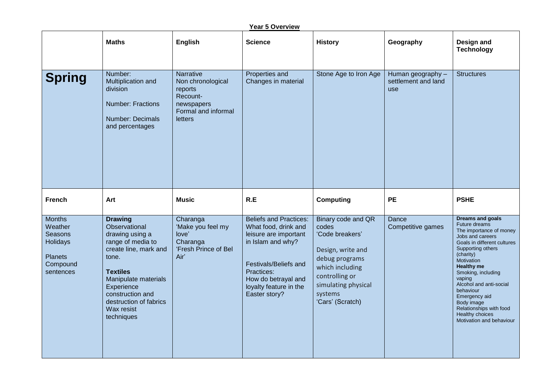| <u>Year 5 Overview</u>                                                                     |                                                                                                                                                                                                                                              |                                                                                                              |                                                                                                                                                                                                              |                                                                                                                                                                                  |                                                 |                                                                                                                                                                                                                                                                                                                                                                              |  |  |
|--------------------------------------------------------------------------------------------|----------------------------------------------------------------------------------------------------------------------------------------------------------------------------------------------------------------------------------------------|--------------------------------------------------------------------------------------------------------------|--------------------------------------------------------------------------------------------------------------------------------------------------------------------------------------------------------------|----------------------------------------------------------------------------------------------------------------------------------------------------------------------------------|-------------------------------------------------|------------------------------------------------------------------------------------------------------------------------------------------------------------------------------------------------------------------------------------------------------------------------------------------------------------------------------------------------------------------------------|--|--|
|                                                                                            | <b>Maths</b>                                                                                                                                                                                                                                 | <b>English</b>                                                                                               | <b>Science</b>                                                                                                                                                                                               | <b>History</b>                                                                                                                                                                   | Geography                                       | Design and<br><b>Technology</b>                                                                                                                                                                                                                                                                                                                                              |  |  |
| <b>Spring</b>                                                                              | Number:<br>Multiplication and<br>division<br><b>Number: Fractions</b><br>Number: Decimals<br>and percentages                                                                                                                                 | Narrative<br>Non chronological<br>reports<br>Recount-<br>newspapers<br>Formal and informal<br><b>letters</b> | Properties and<br>Changes in material                                                                                                                                                                        | Stone Age to Iron Age                                                                                                                                                            | Human geography -<br>settlement and land<br>use | <b>Structures</b>                                                                                                                                                                                                                                                                                                                                                            |  |  |
| <b>French</b>                                                                              | Art                                                                                                                                                                                                                                          | <b>Music</b>                                                                                                 | R.E                                                                                                                                                                                                          | <b>Computing</b>                                                                                                                                                                 | <b>PE</b>                                       | <b>PSHE</b>                                                                                                                                                                                                                                                                                                                                                                  |  |  |
| <b>Months</b><br>Weather<br>Seasons<br>Holidays<br><b>Planets</b><br>Compound<br>sentences | <b>Drawing</b><br>Observational<br>drawing using a<br>range of media to<br>create line, mark and<br>tone.<br><b>Textiles</b><br>Manipulate materials<br>Experience<br>construction and<br>destruction of fabrics<br>Wax resist<br>techniques | Charanga<br>'Make you feel my<br>love'<br>Charanga<br>'Fresh Prince of Bel<br>Air'                           | <b>Beliefs and Practices:</b><br>What food, drink and<br>leisure are important<br>in Islam and why?<br>Festivals/Beliefs and<br>Practices:<br>How do betrayal and<br>loyalty feature in the<br>Easter story? | Binary code and QR<br>codes<br>'Code breakers'<br>Design, write and<br>debug programs<br>which including<br>controlling or<br>simulating physical<br>systems<br>'Cars' (Scratch) | Dance<br>Competitive games                      | <b>Dreams and goals</b><br>Future dreams<br>The importance of money<br>Jobs and careers<br>Goals in different cultures<br>Supporting others<br>(charity)<br>Motivation<br><b>Healthy me</b><br>Smoking, including<br>vaping<br>Alcohol and anti-social<br>behaviour<br>Emergency aid<br>Body image<br>Relationships with food<br>Healthy choices<br>Motivation and behaviour |  |  |